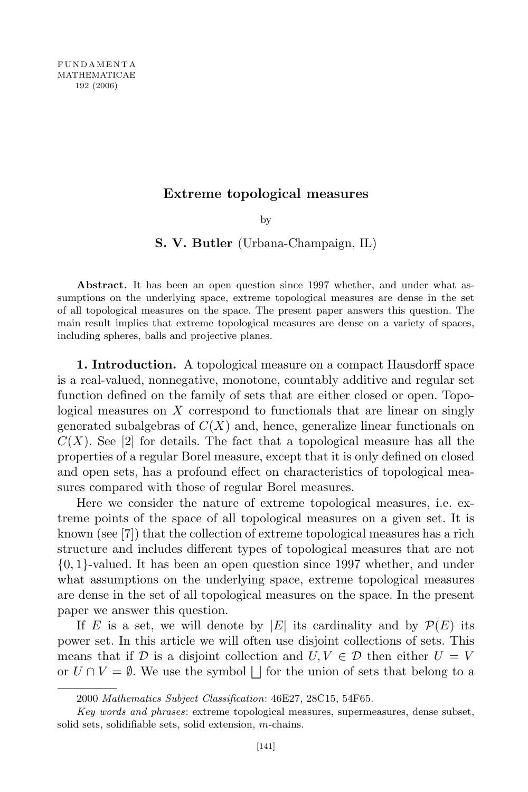## Extreme topological measures

by

## S. V. Butler (Urbana-Champaign, IL)

Abstract. It has been an open question since 1997 whether, and under what assumptions on the underlying space, extreme topological measures are dense in the set of all topological measures on the space. The present paper answers this question. The main result implies that extreme topological measures are dense on a variety of spaces, including spheres, balls and projective planes.

1. Introduction. A topological measure on a compact Hausdorff space is a real-valued, nonnegative, monotone, countably additive and regular set function defined on the family of sets that are either closed or open. Topological measures on  $X$  correspond to functionals that are linear on singly generated subalgebras of  $C(X)$  and, hence, generalize linear functionals on  $C(X)$ . See [2] for details. The fact that a topological measure has all the properties of a regular Borel measure, except that it is only defined on closed and open sets, has a profound effect on characteristics of topological measures compared with those of regular Borel measures.

Here we consider the nature of extreme topological measures, i.e. extreme points of the space of all topological measures on a given set. It is known (see [7]) that the collection of extreme topological measures has a rich structure and includes different types of topological measures that are not {0, 1}-valued. It has been an open question since 1997 whether, and under what assumptions on the underlying space, extreme topological measures are dense in the set of all topological measures on the space. In the present paper we answer this question.

If E is a set, we will denote by |E| its cardinality and by  $\mathcal{P}(E)$  its power set. In this article we will often use disjoint collections of sets. This means that if  $D$  is a disjoint collection and  $U, V \in D$  then either  $U = V$ or  $U \cap V = \emptyset$ . We use the symbol  $\Box$  for the union of sets that belong to a

<sup>2000</sup> Mathematics Subject Classification: 46E27, 28C15, 54F65.

Key words and phrases: extreme topological measures, supermeasures, dense subset, solid sets, solidifiable sets, solid extension, m-chains.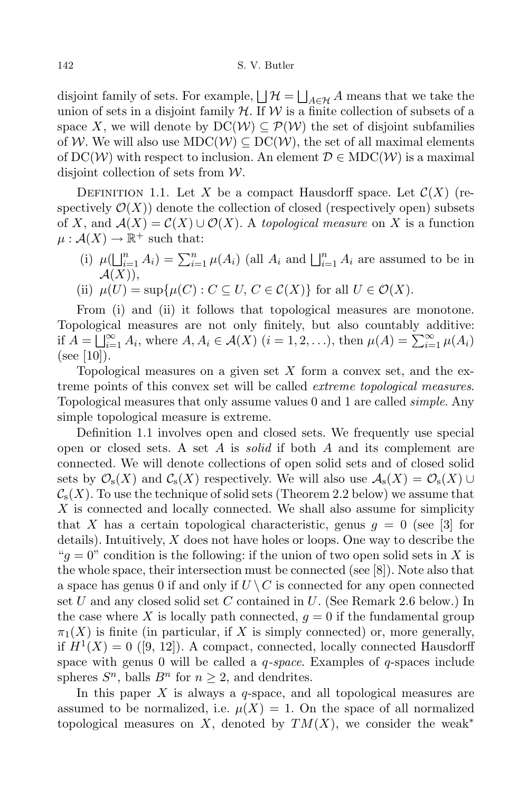disjoint family of sets. For example,  $\bigsqcup \mathcal{H} = \bigsqcup_{A \in \mathcal{H}} A$  means that we take the union of sets in a disjoint family  $H$ . If W is a finite collection of subsets of a space X, we will denote by  $DC(\mathcal{W}) \subseteq \mathcal{P}(\mathcal{W})$  the set of disjoint subfamilies of W. We will also use  $MDC(W) \subseteq DC(W)$ , the set of all maximal elements of  $DC(W)$  with respect to inclusion. An element  $D \in MDC(W)$  is a maximal disjoint collection of sets from  $W$ .

DEFINITION 1.1. Let X be a compact Hausdorff space. Let  $\mathcal{C}(X)$  (respectively  $\mathcal{O}(X)$  denote the collection of closed (respectively open) subsets of X, and  $A(X) = C(X) \cup O(X)$ . A topological measure on X is a function  $\mu: \mathcal{A}(X) \to \mathbb{R}^+$  such that:

(i)  $\mu(\bigsqcup_{i=1}^n A_i) = \sum_{i=1}^n \mu(A_i)$  (all  $A_i$  and  $\bigsqcup_{i=1}^n A_i$  are assumed to be in  $\mathcal{A}(X)),$ 

(ii) 
$$
\mu(U) = \sup \{ \mu(C) : C \subseteq U, C \in C(X) \}
$$
 for all  $U \in \mathcal{O}(X)$ .

From (i) and (ii) it follows that topological measures are monotone. Topological measures are not only finitely, but also countably additive: if  $A = \bigsqcup_{i=1}^{\infty} A_i$ , where  $A, A_i \in \mathcal{A}(X)$   $(i = 1, 2, \ldots)$ , then  $\mu(A) = \sum_{i=1}^{\infty} \mu(A_i)$ (see  $|10|$ ).

Topological measures on a given set  $X$  form a convex set, and the extreme points of this convex set will be called *extreme topological measures*. Topological measures that only assume values 0 and 1 are called simple. Any simple topological measure is extreme.

Definition 1.1 involves open and closed sets. We frequently use special open or closed sets. A set A is *solid* if both A and its complement are connected. We will denote collections of open solid sets and of closed solid sets by  $\mathcal{O}_s(X)$  and  $\mathcal{C}_s(X)$  respectively. We will also use  $\mathcal{A}_s(X) = \mathcal{O}_s(X) \cup$  $\mathcal{C}_s(X)$ . To use the technique of solid sets (Theorem 2.2 below) we assume that X is connected and locally connected. We shall also assume for simplicity that X has a certain topological characteristic, genus  $g = 0$  (see [3] for details). Intuitively,  $X$  does not have holes or loops. One way to describe the "g = 0" condition is the following: if the union of two open solid sets in X is the whole space, their intersection must be connected (see [8]). Note also that a space has genus 0 if and only if  $U \setminus C$  is connected for any open connected set U and any closed solid set C contained in U. (See Remark 2.6 below.) In the case where X is locally path connected,  $q = 0$  if the fundamental group  $\pi_1(X)$  is finite (in particular, if X is simply connected) or, more generally, if  $H^1(X) = 0$  ([9, 12]). A compact, connected, locally connected Hausdorff space with genus 0 will be called a  $q$ -space. Examples of  $q$ -spaces include spheres  $S^n$ , balls  $B^n$  for  $n \geq 2$ , and dendrites.

In this paper  $X$  is always a q-space, and all topological measures are assumed to be normalized, i.e.  $\mu(X) = 1$ . On the space of all normalized topological measures on X, denoted by  $TM(X)$ , we consider the weak<sup>\*</sup>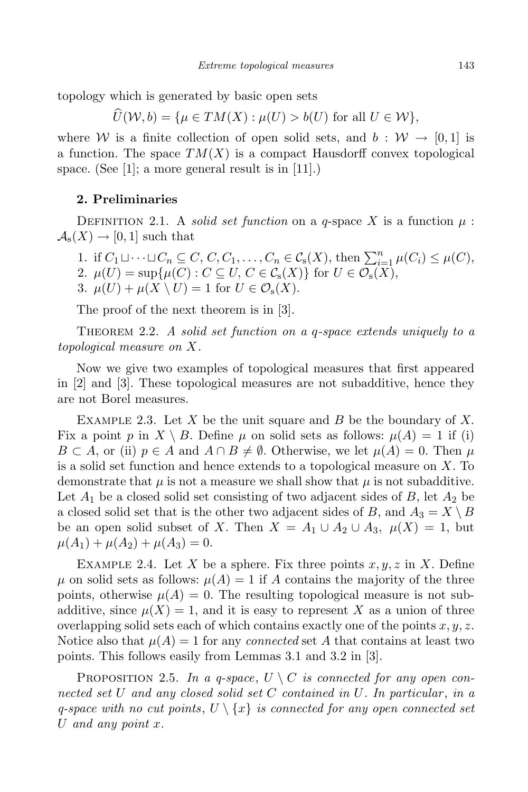topology which is generated by basic open sets

 $\widehat{U}(\mathcal{W}, b) = \{ \mu \in TM(X) : \mu(U) > b(U) \text{ for all } U \in \mathcal{W} \},\$ 

where W is a finite collection of open solid sets, and  $b: \mathcal{W} \to [0, 1]$  is a function. The space  $TM(X)$  is a compact Hausdorff convex topological space. (See [1]; a more general result is in [11].)

## 2. Preliminaries

DEFINITION 2.1. A *solid set function* on a *q*-space X is a function  $\mu$ :  $\mathcal{A}_{s}(X) \rightarrow [0,1]$  such that

1. if  $C_1 \sqcup \cdots \sqcup C_n \subseteq C, C, C_1, \ldots, C_n \in C_s(X)$ , then  $\sum_{i=1}^n \mu(C_i) \leq \mu(C)$ , 2.  $\mu(U) = \sup \{ \mu(C) : C \subseteq U, C \in \mathcal{C}_{\mathbf{s}}(X) \}$  for  $U \in \mathcal{O}_{\mathbf{s}}(X)$ , 3.  $\mu(U) + \mu(X \setminus U) = 1$  for  $U \in \mathcal{O}_s(X)$ .

The proof of the next theorem is in [3].

THEOREM 2.2. A solid set function on a q-space extends uniquely to a topological measure on X.

Now we give two examples of topological measures that first appeared in [2] and [3]. These topological measures are not subadditive, hence they are not Borel measures.

EXAMPLE 2.3. Let X be the unit square and B be the boundary of X. Fix a point p in  $X \setminus B$ . Define  $\mu$  on solid sets as follows:  $\mu(A) = 1$  if (i)  $B \subset A$ , or (ii)  $p \in A$  and  $A \cap B \neq \emptyset$ . Otherwise, we let  $\mu(A) = 0$ . Then  $\mu$ is a solid set function and hence extends to a topological measure on  $X$ . To demonstrate that  $\mu$  is not a measure we shall show that  $\mu$  is not subadditive. Let  $A_1$  be a closed solid set consisting of two adjacent sides of B, let  $A_2$  be a closed solid set that is the other two adjacent sides of B, and  $A_3 = X \setminus B$ be an open solid subset of X. Then  $X = A_1 \cup A_2 \cup A_3$ ,  $\mu(X) = 1$ , but  $\mu(A_1) + \mu(A_2) + \mu(A_3) = 0.$ 

EXAMPLE 2.4. Let X be a sphere. Fix three points  $x, y, z$  in X. Define  $\mu$  on solid sets as follows:  $\mu(A) = 1$  if A contains the majority of the three points, otherwise  $\mu(A) = 0$ . The resulting topological measure is not subadditive, since  $\mu(X) = 1$ , and it is easy to represent X as a union of three overlapping solid sets each of which contains exactly one of the points  $x, y, z$ . Notice also that  $\mu(A) = 1$  for any *connected* set A that contains at least two points. This follows easily from Lemmas 3.1 and 3.2 in [3].

PROPOSITION 2.5. In a q-space,  $U \setminus C$  is connected for any open connected set U and any closed solid set C contained in U. In particular, in a q-space with no cut points,  $U \setminus \{x\}$  is connected for any open connected set U and any point  $x$ .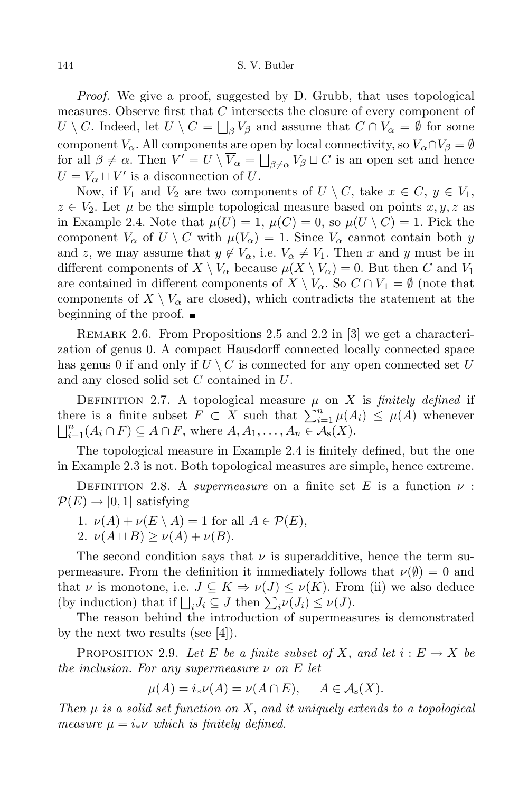Proof. We give a proof, suggested by D. Grubb, that uses topological measures. Observe first that C intersects the closure of every component of  $U \setminus C$ . Indeed, let  $U \setminus C = \bigsqcup_{\beta} V_{\beta}$  and assume that  $C \cap V_{\alpha} = \emptyset$  for some component  $V_\alpha$ . All components are open by local connectivity, so  $\overline{V}_\alpha \cap V_\beta = \emptyset$ for all  $\beta \neq \alpha$ . Then  $V' = U \setminus \overline{V}_{\alpha} = \bigsqcup_{\beta \neq \alpha} V_{\beta} \sqcup C$  is an open set and hence  $U = V_\alpha \sqcup V'$  is a disconnection of U.

Now, if  $V_1$  and  $V_2$  are two components of  $U \setminus C$ , take  $x \in C$ ,  $y \in V_1$ ,  $z \in V_2$ . Let  $\mu$  be the simple topological measure based on points  $x, y, z$  as in Example 2.4. Note that  $\mu(U) = 1$ ,  $\mu(C) = 0$ , so  $\mu(U \setminus C) = 1$ . Pick the component  $V_{\alpha}$  of  $U \setminus C$  with  $\mu(V_{\alpha}) = 1$ . Since  $V_{\alpha}$  cannot contain both y and z, we may assume that  $y \notin V_\alpha$ , i.e.  $V_\alpha \neq V_1$ . Then x and y must be in different components of  $X \setminus V_\alpha$  because  $\mu(X \setminus V_\alpha) = 0$ . But then C and  $V_1$ are contained in different components of  $X \setminus V_\alpha$ . So  $C \cap \overline{V}_1 = \emptyset$  (note that components of  $X \setminus V_\alpha$  are closed), which contradicts the statement at the beginning of the proof.  $\blacksquare$ 

REMARK 2.6. From Propositions 2.5 and 2.2 in [3] we get a characterization of genus 0. A compact Hausdorff connected locally connected space has genus 0 if and only if  $U \setminus C$  is connected for any open connected set U and any closed solid set C contained in U.

DEFINITION 2.7. A topological measure  $\mu$  on X is finitely defined if there is a finite subset  $F \subset X$  such that  $\sum_{i=1}^n \mu(A_i) \leq \mu(A)$  whenever  $\bigsqcup_{i=1}^n (A_i \cap F) \subseteq A \cap F$ , where  $A, A_1, \ldots, A_n \in \overline{\mathcal{A}_s(X)}$ .

The topological measure in Example 2.4 is finitely defined, but the one in Example 2.3 is not. Both topological measures are simple, hence extreme.

DEFINITION 2.8. A *supermeasure* on a finite set E is a function  $\nu$ :  $\mathcal{P}(E) \rightarrow [0, 1]$  satisfying

1. 
$$
\nu(A) + \nu(E \setminus A) = 1
$$
 for all  $A \in \mathcal{P}(E)$ ,

$$
2. \nu(A \sqcup B) \ge \nu(A) + \nu(B).
$$

The second condition says that  $\nu$  is superadditive, hence the term supermeasure. From the definition it immediately follows that  $\nu(\emptyset) = 0$  and that  $\nu$  is monotone, i.e.  $J \subseteq K \Rightarrow \nu(J) \leq \nu(K)$ . From (ii) we also deduce (by induction) that if  $\bigsqcup_i J_i \subseteq J$  then  $\sum_i \nu(J_i) \leq \nu(J)$ .

The reason behind the introduction of supermeasures is demonstrated by the next two results (see [4]).

PROPOSITION 2.9. Let E be a finite subset of X, and let  $i: E \to X$  be the inclusion. For any supermeasure  $\nu$  on E let

$$
\mu(A) = i_* \nu(A) = \nu(A \cap E), \quad A \in \mathcal{A}_s(X).
$$

Then  $\mu$  is a solid set function on X, and it uniquely extends to a topological measure  $\mu = i_*\nu$  which is finitely defined.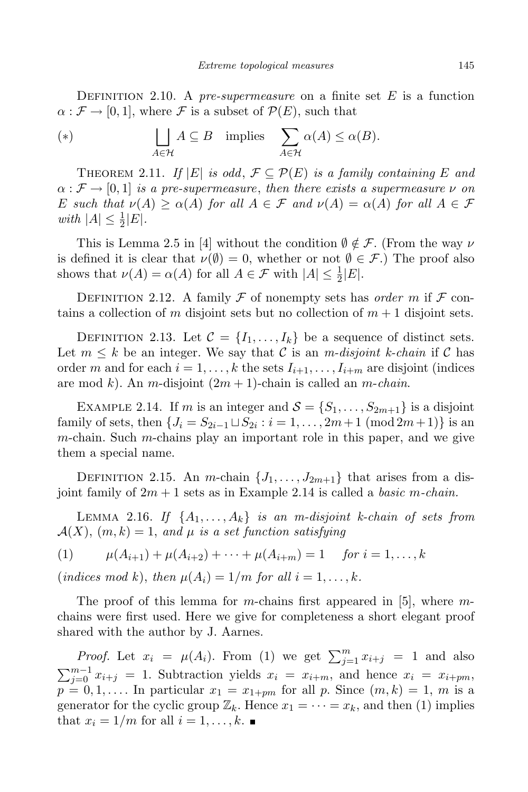DEFINITION 2.10. A pre-supermeasure on a finite set  $E$  is a function  $\alpha : \mathcal{F} \to [0, 1]$ , where  $\mathcal{F}$  is a subset of  $\mathcal{P}(E)$ , such that

(\*) 
$$
\qquad \qquad \bigsqcup_{A \in \mathcal{H}} A \subseteq B \quad \text{implies} \quad \sum_{A \in \mathcal{H}} \alpha(A) \leq \alpha(B).
$$

THEOREM 2.11. If  $|E|$  is odd,  $\mathcal{F} \subseteq \mathcal{P}(E)$  is a family containing E and  $\alpha : \mathcal{F} \to [0, 1]$  is a pre-supermeasure, then there exists a supermeasure  $\nu$  on E such that  $\nu(A) \geq \alpha(A)$  for all  $A \in \mathcal{F}$  and  $\nu(A) = \alpha(A)$  for all  $A \in \mathcal{F}$ with  $|A| \leq \frac{1}{2}|E|$ .

This is Lemma 2.5 in [4] without the condition  $\emptyset \notin \mathcal{F}$ . (From the way  $\nu$ is defined it is clear that  $\nu(\emptyset) = 0$ , whether or not  $\emptyset \in \mathcal{F}$ .) The proof also shows that  $\nu(A) = \alpha(A)$  for all  $A \in \mathcal{F}$  with  $|A| \leq \frac{1}{2}|E|$ .

DEFINITION 2.12. A family  $\mathcal F$  of nonempty sets has *order* m if  $\mathcal F$  contains a collection of m disjoint sets but no collection of  $m + 1$  disjoint sets.

DEFINITION 2.13. Let  $\mathcal{C} = \{I_1, \ldots, I_k\}$  be a sequence of distinct sets. Let  $m \leq k$  be an integer. We say that C is an *m*-disjoint k-chain if C has order m and for each  $i = 1, \ldots, k$  the sets  $I_{i+1}, \ldots, I_{i+m}$  are disjoint (indices are mod k). An m-disjoint  $(2m + 1)$ -chain is called an m-*chain*.

EXAMPLE 2.14. If m is an integer and  $S = \{S_1, \ldots, S_{2m+1}\}\$ is a disjoint family of sets, then  $\{J_i = S_{2i-1} \sqcup S_{2i} : i = 1, ..., 2m+1 \pmod{2m+1}\}$  is an m-chain. Such m-chains play an important role in this paper, and we give them a special name.

DEFINITION 2.15. An m-chain  $\{J_1, \ldots, J_{2m+1}\}\$  that arises from a disjoint family of  $2m + 1$  sets as in Example 2.14 is called a *basic m-chain*.

LEMMA 2.16. If  $\{A_1, \ldots, A_k\}$  is an m-disjoint k-chain of sets from  $\mathcal{A}(X)$ ,  $(m, k) = 1$ , and  $\mu$  is a set function satisfying

(1) 
$$
\mu(A_{i+1}) + \mu(A_{i+2}) + \cdots + \mu(A_{i+m}) = 1 \quad \text{for } i = 1, \ldots, k
$$

(indices mod k), then  $\mu(A_i) = 1/m$  for all  $i = 1, ..., k$ .

The proof of this lemma for m-chains first appeared in [5], where  $m$ chains were first used. Here we give for completeness a short elegant proof shared with the author by J. Aarnes.

*Proof.* Let  $x_i = \mu(A_i)$ . From (1) we get  $\sum_{j=1}^{m} x_{i+j} = 1$  and also  $\sum_{j=0}^{m-1} x_{i+j} = 1$ . Subtraction yields  $x_i = x_{i+m}$ , and hence  $x_i = x_{i+pm}$ ,  $p = 0, 1, \ldots$  In particular  $x_1 = x_{1+pm}$  for all p. Since  $(m, k) = 1, m$  is a generator for the cyclic group  $\mathbb{Z}_k$ . Hence  $x_1 = \cdots = x_k$ , and then (1) implies that  $x_i = 1/m$  for all  $i = 1, \ldots, k$ .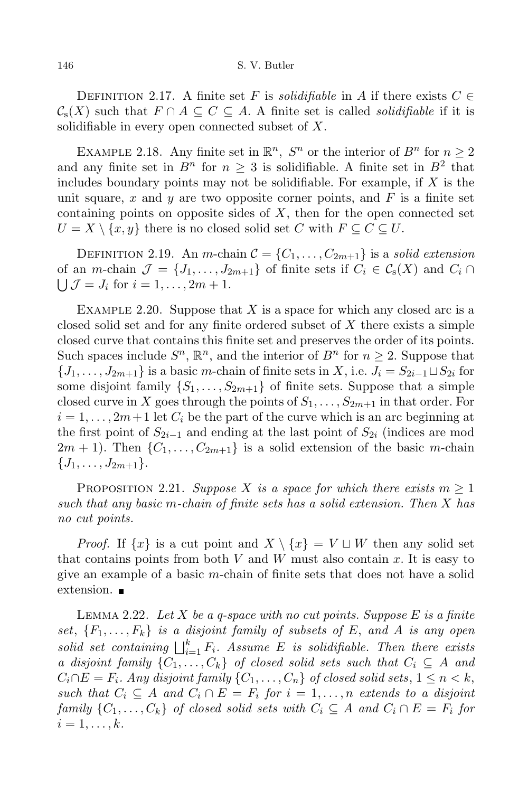DEFINITION 2.17. A finite set F is *solidifiable* in A if there exists  $C \in$  $\mathcal{C}_s(X)$  such that  $F \cap A \subseteq C \subseteq A$ . A finite set is called *solidifiable* if it is solidifiable in every open connected subset of  $X$ .

EXAMPLE 2.18. Any finite set in  $\mathbb{R}^n$ ,  $S^n$  or the interior of  $B^n$  for  $n \geq 2$ and any finite set in  $B<sup>n</sup>$  for  $n \geq 3$  is solidifiable. A finite set in  $B<sup>2</sup>$  that includes boundary points may not be solidifiable. For example, if  $X$  is the unit square, x and y are two opposite corner points, and  $F$  is a finite set containing points on opposite sides of  $X$ , then for the open connected set  $U = X \setminus \{x, y\}$  there is no closed solid set C with  $F \subseteq C \subseteq U$ .

DEFINITION 2.19. An m-chain  $C = \{C_1, \ldots, C_{2m+1}\}\$ is a solid extension of an *m*-chain  $\mathcal{J} = \{J_1, \ldots, J_{2m+1}\}\$ of finite sets if  $C_i \in \mathcal{C}_{\rm s}(X)$  and  $C_i \cap$  $\bigcup \mathcal{J} = J_i$  for  $i = 1, \ldots, 2m + 1$ .

EXAMPLE 2.20. Suppose that X is a space for which any closed arc is a closed solid set and for any finite ordered subset of X there exists a simple closed curve that contains this finite set and preserves the order of its points. Such spaces include  $S^n$ ,  $\mathbb{R}^n$ , and the interior of  $B^n$  for  $n \geq 2$ . Suppose that  $\{J_1, \ldots, J_{2m+1}\}\$ is a basic m-chain of finite sets in X, i.e.  $J_i = S_{2i-1} \sqcup S_{2i}$  for some disjoint family  $\{S_1, \ldots, S_{2m+1}\}\$  of finite sets. Suppose that a simple closed curve in X goes through the points of  $S_1, \ldots, S_{2m+1}$  in that order. For  $i = 1, \ldots, 2m+1$  let  $C_i$  be the part of the curve which is an arc beginning at the first point of  $S_{2i-1}$  and ending at the last point of  $S_{2i}$  (indices are mod  $2m + 1$ ). Then  $\{C_1, \ldots, C_{2m+1}\}\$ is a solid extension of the basic m-chain  $\{J_1, \ldots, J_{2m+1}\}.$ 

PROPOSITION 2.21. Suppose X is a space for which there exists  $m \geq 1$ such that any basic m-chain of finite sets has a solid extension. Then X has no cut points.

*Proof.* If  $\{x\}$  is a cut point and  $X \setminus \{x\} = V \sqcup W$  then any solid set that contains points from both V and W must also contain x. It is easy to give an example of a basic m-chain of finite sets that does not have a solid extension. ■

LEMMA 2.22. Let X be a q-space with no cut points. Suppose E is a finite set,  ${F_1, \ldots, F_k}$  is a disjoint family of subsets of E, and A is any open solid set containing  $\bigsqcup_{i=1}^k F_i$ . Assume E is solidifiable. Then there exists a disjoint family  $\{C_1, \ldots, C_k\}$  of closed solid sets such that  $C_i \subseteq A$  and  $C_i \cap E = F_i$ . Any disjoint family  $\{C_1, \ldots, C_n\}$  of closed solid sets,  $1 \leq n < k$ , such that  $C_i \subseteq A$  and  $C_i \cap E = F_i$  for  $i = 1, ..., n$  extends to a disjoint family  $\{C_1, \ldots, C_k\}$  of closed solid sets with  $C_i \subseteq A$  and  $C_i \cap E = F_i$  for  $i=1,\ldots,k$ .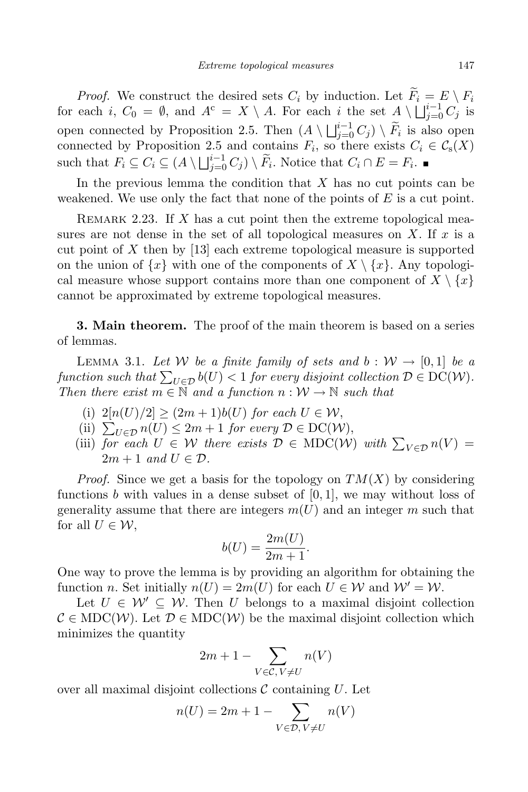*Proof.* We construct the desired sets  $C_i$  by induction. Let  $F_i = E \setminus F_i$ for each i,  $C_0 = \emptyset$ , and  $A^c = X \setminus A$ . For each i the set  $A \setminus \bigsqcup_{j=0}^{i-1} C_j$  is open connected by Proposition 2.5. Then  $(A \setminus \bigsqcup_{j=0}^{i-1} C_j) \setminus \widetilde{F}_i$  is also open connected by Proposition 2.5 and contains  $F_i$ , so there exists  $C_i \in \mathcal{C}_s(X)$ such that  $F_i \subseteq C_i \subseteq (A \setminus \bigsqcup_{j=0}^{i-1} C_j) \setminus \widetilde{F}_i$ . Notice that  $C_i \cap E = F_i$ .

In the previous lemma the condition that  $X$  has no cut points can be weakened. We use only the fact that none of the points of  $E$  is a cut point.

REMARK 2.23. If  $X$  has a cut point then the extreme topological measures are not dense in the set of all topological measures on  $X$ . If  $x$  is a cut point of X then by [13] each extreme topological measure is supported on the union of  $\{x\}$  with one of the components of  $X \setminus \{x\}$ . Any topological measure whose support contains more than one component of  $X \setminus \{x\}$ cannot be approximated by extreme topological measures.

**3. Main theorem.** The proof of the main theorem is based on a series of lemmas.

LEMMA 3.1. Let W be a finite family of sets and  $b: W \to [0,1]$  be a function such that  $\sum_{U \in \mathcal{D}} b(U) < 1$  for every disjoint collection  $\mathcal{D} \in \mathrm{DC}(\mathcal{W})$ . Then there exist  $m \in \mathbb{N}$  and a function  $n : \mathcal{W} \to \mathbb{N}$  such that

- (i)  $2[n(U)/2] \ge (2m+1)b(U)$  for each  $U \in \mathcal{W}$ ,
- (ii)  $\sum_{U \in \mathcal{D}} n(U) \leq 2m + 1$  for every  $\mathcal{D} \in \mathrm{DC}(\mathcal{W}),$
- (iii) for each  $U \in \mathcal{W}$  there exists  $\mathcal{D} \in \text{MDC}(\mathcal{W})$  with  $\sum_{V \in \mathcal{D}} n(V) =$  $2m + 1$  and  $U \in \mathcal{D}$ .

*Proof.* Since we get a basis for the topology on  $TM(X)$  by considering functions b with values in a dense subset of  $[0, 1]$ , we may without loss of generality assume that there are integers  $m(U)$  and an integer m such that for all  $U \in \mathcal{W}$ ,

$$
b(U) = \frac{2m(U)}{2m+1}.
$$

One way to prove the lemma is by providing an algorithm for obtaining the function n. Set initially  $n(U) = 2m(U)$  for each  $U \in W$  and  $W' = W$ .

Let  $U \in \mathcal{W}' \subseteq \mathcal{W}$ . Then U belongs to a maximal disjoint collection  $\mathcal{C} \in \text{MDC}(\mathcal{W})$ . Let  $\mathcal{D} \in \text{MDC}(\mathcal{W})$  be the maximal disjoint collection which minimizes the quantity

$$
2m+1-\sum_{V\in\mathcal{C},\,V\neq U}n(V)
$$

over all maximal disjoint collections  $\mathcal C$  containing  $U$ . Let

$$
n(U) = 2m + 1 - \sum_{V \in \mathcal{D}, V \neq U} n(V)
$$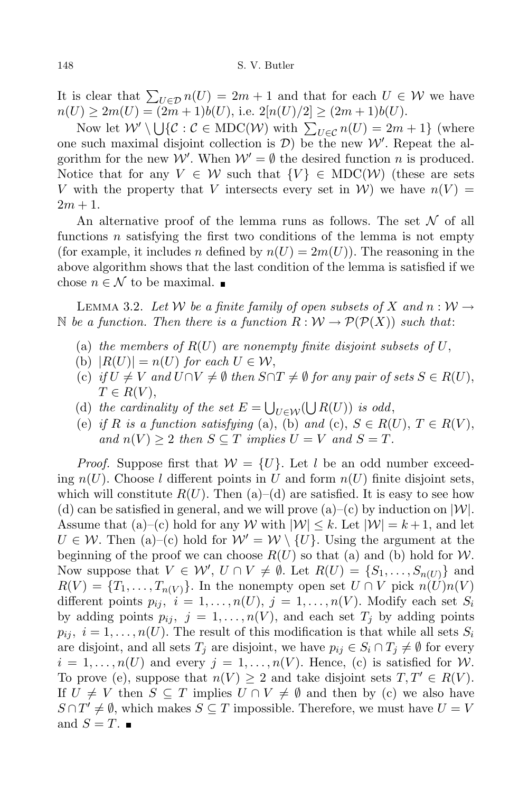It is clear that  $\sum_{U \in \mathcal{D}} n(U) = 2m + 1$  and that for each  $U \in \mathcal{W}$  we have  $n(U) \geq 2m(U) = (2m+1)b(U),$  i.e.  $2[n(U)/2] \geq (2m+1)b(U).$ 

Now let  $W' \setminus \bigcup \{C : C \in \text{MDC}(W) \text{ with } \sum_{U \in C} n(U) = 2m + 1\}$  (where one such maximal disjoint collection is  $\mathcal{D}$ ) be the new  $\mathcal{W}'$ . Repeat the algorithm for the new W'. When  $W' = \emptyset$  the desired function n is produced. Notice that for any  $V \in \mathcal{W}$  such that  $\{V\} \in \text{MDC}(\mathcal{W})$  (these are sets V with the property that V intersects every set in  $W$ ) we have  $n(V)$  =  $2m + 1$ .

An alternative proof of the lemma runs as follows. The set  $\mathcal N$  of all functions n satisfying the first two conditions of the lemma is not empty (for example, it includes n defined by  $n(U) = 2m(U)$ ). The reasoning in the above algorithm shows that the last condition of the lemma is satisfied if we chose  $n \in \mathcal{N}$  to be maximal.

LEMMA 3.2. Let W be a finite family of open subsets of X and  $n : W \rightarrow$ N be a function. Then there is a function  $R: W \to \mathcal{P}(\mathcal{P}(X))$  such that:

- (a) the members of  $R(U)$  are nonempty finite disjoint subsets of U,
- (b)  $|R(U)| = n(U)$  for each  $U \in W$ ,
- (c) if  $U \neq V$  and  $U \cap V \neq \emptyset$  then  $S \cap T \neq \emptyset$  for any pair of sets  $S \in R(U)$ ,  $T \in R(V)$ ,
- (d) the cardinality of the set  $E = \bigcup_{U \in \mathcal{W}} (\bigcup R(U))$  is odd,
- (e) if R is a function satisfying (a), (b) and (c),  $S \in R(U)$ ,  $T \in R(V)$ , and  $n(V) \geq 2$  then  $S \subseteq T$  implies  $U = V$  and  $S = T$ .

*Proof.* Suppose first that  $W = \{U\}$ . Let l be an odd number exceeding  $n(U)$ . Choose l different points in U and form  $n(U)$  finite disjoint sets, which will constitute  $R(U)$ . Then (a)–(d) are satisfied. It is easy to see how (d) can be satisfied in general, and we will prove (a)–(c) by induction on  $|\mathcal{W}|$ . Assume that (a)–(c) hold for any W with  $|\mathcal{W}| \leq k$ . Let  $|\mathcal{W}| = k + 1$ , and let  $U \in \mathcal{W}$ . Then (a)–(c) hold for  $\mathcal{W}' = \mathcal{W} \setminus \{U\}$ . Using the argument at the beginning of the proof we can choose  $R(U)$  so that (a) and (b) hold for  $\mathcal{W}$ . Now suppose that  $V \in \mathcal{W}'$ ,  $U \cap V \neq \emptyset$ . Let  $R(U) = \{S_1, \ldots, S_{n(U)}\}$  and  $R(V) = \{T_1, \ldots, T_{n(V)}\}.$  In the nonempty open set  $U \cap V$  pick  $n(U)n(V)$ different points  $p_{ij}, i = 1, \ldots, n(U), j = 1, \ldots, n(V)$ . Modify each set  $S_i$ by adding points  $p_{ij}, j = 1, ..., n(V)$ , and each set  $T_j$  by adding points  $p_{ij}, i = 1, \ldots, n(U)$ . The result of this modification is that while all sets  $S_i$ are disjoint, and all sets  $T_j$  are disjoint, we have  $p_{ij} \in S_i \cap T_j \neq \emptyset$  for every  $i = 1, \ldots, n(U)$  and every  $j = 1, \ldots, n(V)$ . Hence, (c) is satisfied for W. To prove (e), suppose that  $n(V) \geq 2$  and take disjoint sets  $T, T' \in R(V)$ . If  $U \neq V$  then  $S \subseteq T$  implies  $U \cap V \neq \emptyset$  and then by (c) we also have  $S \cap T' \neq \emptyset$ , which makes  $S \subseteq T$  impossible. Therefore, we must have  $U = V$ and  $S=T$ .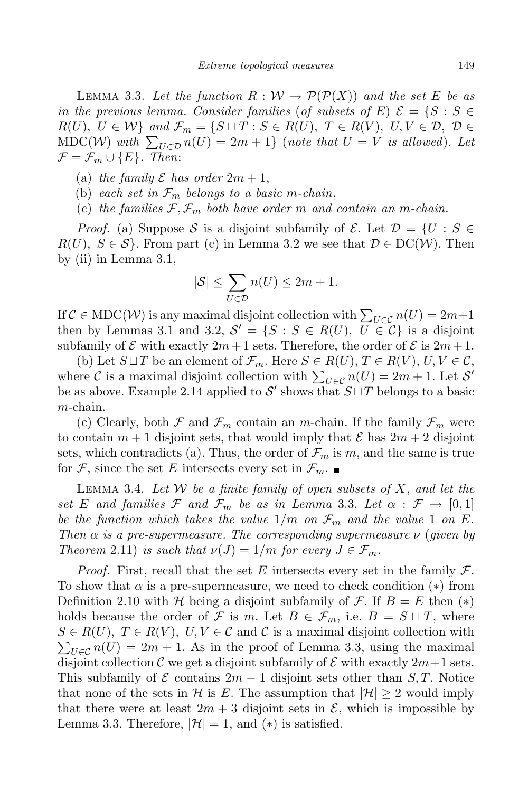LEMMA 3.3. Let the function  $R: W \to \mathcal{P}(\mathcal{P}(X))$  and the set E be as in the previous lemma. Consider families (of subsets of E)  $\mathcal{E} = \{S : S \in$  $R(U), U \in W$  and  $\mathcal{F}_m = \{ S \sqcup T : S \in R(U), T \in R(V), U, V \in \mathcal{D}, \mathcal{D} \in$ MDC(W) with  $\sum_{U \in \mathcal{D}} n(U) = 2m + 1$  (note that  $U = V$  is allowed). Let  $\mathcal{F} = \mathcal{F}_m \cup \{E\}$ . Then:

- (a) the family  $\mathcal E$  has order  $2m+1$ ,
- (b) each set in  $\mathcal{F}_m$  belongs to a basic m-chain,
- (c) the families  $\mathcal{F}, \mathcal{F}_m$  both have order m and contain an m-chain.

*Proof.* (a) Suppose S is a disjoint subfamily of E. Let  $\mathcal{D} = \{U : S \in$  $R(U), S \in \mathcal{S}$ . From part (c) in Lemma 3.2 we see that  $\mathcal{D} \in \mathrm{DC}(\mathcal{W})$ . Then by (ii) in Lemma 3.1,

$$
|\mathcal{S}| \le \sum_{U \in \mathcal{D}} n(U) \le 2m + 1.
$$

If  $C \in \text{MDC}(\mathcal{W})$  is any maximal disjoint collection with  $\sum_{U \in \mathcal{C}} n(U) = 2m+1$ then by Lemmas 3.1 and 3.2,  $S' = \{S : S \in R(U), U \in \mathcal{C}\}\$ is a disjoint subfamily of  $\mathcal E$  with exactly  $2m+1$  sets. Therefore, the order of  $\mathcal E$  is  $2m+1$ .

(b) Let  $S \sqcup T$  be an element of  $\mathcal{F}_m$ . Here  $S \in R(U)$ ,  $T \in R(V)$ ,  $U, V \in \mathcal{C}$ , where C is a maximal disjoint collection with  $\sum_{U \in \mathcal{C}} n(U) = 2m + 1$ . Let S' be as above. Example 2.14 applied to S' shows that  $S \sqcup T$  belongs to a basic m-chain.

(c) Clearly, both  $\mathcal F$  and  $\mathcal F_m$  contain an m-chain. If the family  $\mathcal F_m$  were to contain  $m+1$  disjoint sets, that would imply that  $\mathcal E$  has  $2m+2$  disjoint sets, which contradicts (a). Thus, the order of  $\mathcal{F}_m$  is m, and the same is true for F, since the set E intersects every set in  $\mathcal{F}_m$ .

LEMMA 3.4. Let W be a finite family of open subsets of  $X$ , and let the set E and families F and  $\mathcal{F}_m$  be as in Lemma 3.3. Let  $\alpha : \mathcal{F} \to [0,1]$ be the function which takes the value  $1/m$  on  $\mathcal{F}_m$  and the value 1 on E. Then  $\alpha$  is a pre-supermeasure. The corresponding supermeasure  $\nu$  (given by Theorem 2.11) is such that  $\nu(J) = 1/m$  for every  $J \in \mathcal{F}_m$ .

*Proof.* First, recall that the set E intersects every set in the family  $\mathcal{F}$ . To show that  $\alpha$  is a pre-supermeasure, we need to check condition (\*) from Definition 2.10 with H being a disjoint subfamily of F. If  $B = E$  then  $(*)$ holds because the order of F is m. Let  $B \in \mathcal{F}_m$ , i.e.  $B = S \sqcup T$ , where  $S \in R(U), T \in R(V), U, V \in C$  and C is a maximal disjoint collection with  $\sum_{U \in \mathcal{C}} n(U) = 2m + 1$ . As in the proof of Lemma 3.3, using the maximal disjoint collection C we get a disjoint subfamily of E with exactly  $2m+1$  sets. This subfamily of  $\mathcal E$  contains  $2m-1$  disjoint sets other than  $S, T$ . Notice that none of the sets in H is E. The assumption that  $|\mathcal{H}| \geq 2$  would imply that there were at least  $2m + 3$  disjoint sets in  $\mathcal{E}$ , which is impossible by Lemma 3.3. Therefore,  $|\mathcal{H}| = 1$ , and  $(*)$  is satisfied.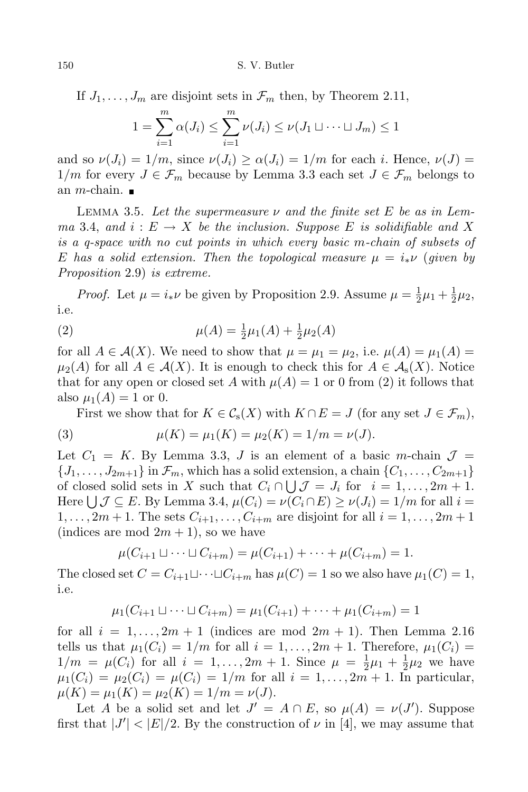If  $J_1, \ldots, J_m$  are disjoint sets in  $\mathcal{F}_m$  then, by Theorem 2.11,

$$
1 = \sum_{i=1}^{m} \alpha(J_i) \le \sum_{i=1}^{m} \nu(J_i) \le \nu(J_1 \sqcup \dots \sqcup J_m) \le 1
$$

and so  $\nu(J_i) = 1/m$ , since  $\nu(J_i) \ge \alpha(J_i) = 1/m$  for each i. Hence,  $\nu(J) =$  $1/m$  for every  $J \in \mathcal{F}_m$  because by Lemma 3.3 each set  $J \in \mathcal{F}_m$  belongs to an *m*-chain.  $\blacksquare$ 

LEMMA 3.5. Let the supermeasure  $\nu$  and the finite set E be as in Lemma 3.4, and  $i: E \to X$  be the inclusion. Suppose E is solidifiable and X is a q-space with no cut points in which every basic m-chain of subsets of E has a solid extension. Then the topological measure  $\mu = i_*\nu$  (given by Proposition 2.9) is extreme.

*Proof.* Let  $\mu = i_* \nu$  be given by Proposition 2.9. Assume  $\mu = \frac{1}{2}$  $rac{1}{2}\mu_1 + \frac{1}{2}$  $rac{1}{2}\mu_2,$ i.e.

(2) 
$$
\mu(A) = \frac{1}{2}\mu_1(A) + \frac{1}{2}\mu_2(A)
$$

for all  $A \in \mathcal{A}(X)$ . We need to show that  $\mu = \mu_1 = \mu_2$ , i.e.  $\mu(A) = \mu_1(A)$ .  $\mu_2(A)$  for all  $A \in \mathcal{A}(X)$ . It is enough to check this for  $A \in \mathcal{A}_s(X)$ . Notice that for any open or closed set A with  $\mu(A) = 1$  or 0 from (2) it follows that also  $\mu_1(A) = 1$  or 0.

First we show that for  $K \in \mathcal{C}_{s}(X)$  with  $K \cap E = J$  (for any set  $J \in \mathcal{F}_{m}$ ), (3)  $\mu(K) = \mu_1(K) = \mu_2(K) = 1/m = \nu(J).$ 

Let  $C_1 = K$ . By Lemma 3.3, J is an element of a basic m-chain  $\mathcal{J} =$  $\{J_1,\ldots,J_{2m+1}\}\$  in  $\mathcal{F}_m$ , which has a solid extension, a chain  $\{C_1,\ldots,C_{2m+1}\}\$ of closed solid sets in X such that  $C_i \cap \bigcup \mathcal{J} = J_i$  for  $i = 1, ..., 2m + 1$ . Here  $\bigcup \mathcal{J} \subseteq E$ . By Lemma 3.4,  $\mu(C_i) = \nu(C_i \cap E) \ge \nu(J_i) = 1/m$  for all  $i =$  $1, \ldots, 2m+1$ . The sets  $C_{i+1}, \ldots, C_{i+m}$  are disjoint for all  $i = 1, \ldots, 2m+1$ (indices are mod  $2m + 1$ ), so we have

$$
\mu(C_{i+1} \sqcup \cdots \sqcup C_{i+m}) = \mu(C_{i+1}) + \cdots + \mu(C_{i+m}) = 1.
$$

The closed set  $C = C_{i+1}\sqcup \cdots \sqcup C_{i+m}$  has  $\mu(C) = 1$  so we also have  $\mu_1(C) = 1$ , i.e.

$$
\mu_1(C_{i+1} \sqcup \cdots \sqcup C_{i+m}) = \mu_1(C_{i+1}) + \cdots + \mu_1(C_{i+m}) = 1
$$

for all  $i = 1, \ldots, 2m + 1$  (indices are mod  $2m + 1$ ). Then Lemma 2.16 tells us that  $\mu_1(C_i) = 1/m$  for all  $i = 1, \ldots, 2m + 1$ . Therefore,  $\mu_1(C_i) =$  $1/m = \mu(C_i)$  for all  $i = 1, ..., 2m + 1$ . Since  $\mu = \frac{1}{2}$  $\frac{1}{2}\mu_1 + \frac{1}{2}$  $\frac{1}{2}\mu_2$  we have  $\mu_1(C_i) = \mu_2(C_i) = \mu(C_i) = 1/m$  for all  $i = 1, ..., 2m + 1$ . In particular,  $\mu(K) = \mu_1(K) = \mu_2(K) = 1/m = \nu(J).$ 

Let A be a solid set and let  $J' = A \cap E$ , so  $\mu(A) = \nu(J')$ . Suppose first that  $|J'| < |E|/2$ . By the construction of  $\nu$  in [4], we may assume that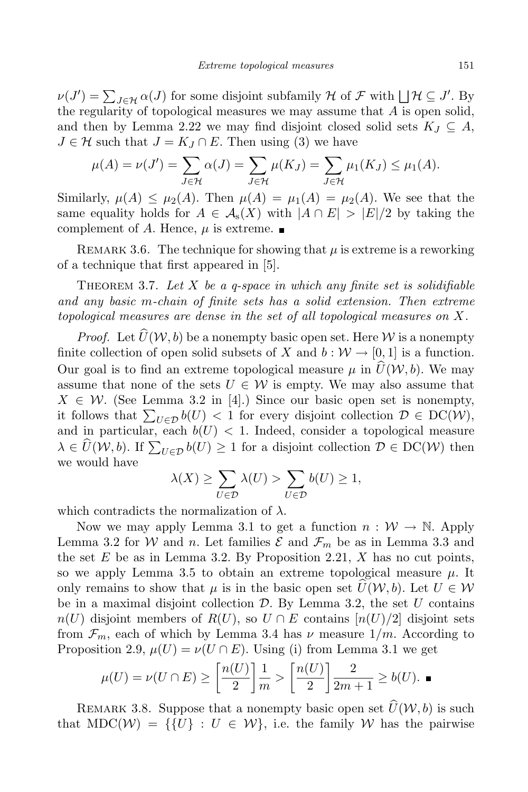$\nu(J') = \sum_{J \in \mathcal{H}} \alpha(J)$  for some disjoint subfamily  $\mathcal{H}$  of  $\mathcal{F}$  with  $\Box \mathcal{H} \subseteq J'$ . By the regularity of topological measures we may assume that  $A$  is open solid, and then by Lemma 2.22 we may find disjoint closed solid sets  $K_J \subseteq A$ ,  $J \in \mathcal{H}$  such that  $J = K_J \cap E$ . Then using (3) we have

$$
\mu(A) = \nu(J') = \sum_{J \in \mathcal{H}} \alpha(J) = \sum_{J \in \mathcal{H}} \mu(K_J) = \sum_{J \in \mathcal{H}} \mu_1(K_J) \leq \mu_1(A).
$$

Similarly,  $\mu(A) \leq \mu_2(A)$ . Then  $\mu(A) = \mu_1(A) = \mu_2(A)$ . We see that the same equality holds for  $A \in \mathcal{A}_{s}(X)$  with  $|A \cap E| > |E|/2$  by taking the complement of A. Hence,  $\mu$  is extreme.

REMARK 3.6. The technique for showing that  $\mu$  is extreme is a reworking of a technique that first appeared in [5].

THEOREM 3.7. Let  $X$  be a q-space in which any finite set is solidifiable and any basic m-chain of finite sets has a solid extension. Then extreme topological measures are dense in the set of all topological measures on X.

*Proof.* Let  $\widehat{U}(\mathcal{W}, b)$  be a nonempty basic open set. Here W is a nonempty finite collection of open solid subsets of X and  $b : \mathcal{W} \to [0, 1]$  is a function. Our goal is to find an extreme topological measure  $\mu$  in  $\widehat{U}(\mathcal{W}, b)$ . We may assume that none of the sets  $U \in \mathcal{W}$  is empty. We may also assume that  $X \in \mathcal{W}$ . (See Lemma 3.2 in [4].) Since our basic open set is nonempty, it follows that  $\sum_{U \in \mathcal{D}} b(U) < 1$  for every disjoint collection  $\mathcal{D} \in \mathrm{DC}(\mathcal{W})$ , and in particular, each  $b(U)$  < 1. Indeed, consider a topological measure  $\lambda \in \widehat{U}(\mathcal{W}, b)$ . If  $\sum_{U \in \mathcal{D}} b(U) \geq 1$  for a disjoint collection  $\mathcal{D} \in \mathrm{DC}(\mathcal{W})$  then we would have

$$
\lambda(X) \ge \sum_{U \in \mathcal{D}} \lambda(U) > \sum_{U \in \mathcal{D}} b(U) \ge 1,
$$

which contradicts the normalization of  $\lambda$ .

Now we may apply Lemma 3.1 to get a function  $n : \mathcal{W} \to \mathbb{N}$ . Apply Lemma 3.2 for W and n. Let families  $\mathcal E$  and  $\mathcal F_m$  be as in Lemma 3.3 and the set E be as in Lemma 3.2. By Proposition 2.21,  $X$  has no cut points, so we apply Lemma 3.5 to obtain an extreme topological measure  $\mu$ . It only remains to show that  $\mu$  is in the basic open set  $U(\mathcal{W}, b)$ . Let  $U \in \mathcal{W}$ be in a maximal disjoint collection  $\mathcal{D}$ . By Lemma 3.2, the set U contains  $n(U)$  disjoint members of  $R(U)$ , so  $U \cap E$  contains  $[n(U)/2]$  disjoint sets from  $\mathcal{F}_m$ , each of which by Lemma 3.4 has  $\nu$  measure  $1/m$ . According to Proposition 2.9,  $\mu(U) = \nu(U \cap E)$ . Using (i) from Lemma 3.1 we get

$$
\mu(U) = \nu(U \cap E) \ge \left[\frac{n(U)}{2}\right] \frac{1}{m} > \left[\frac{n(U)}{2}\right] \frac{2}{2m+1} \ge b(U). \blacksquare
$$

REMARK 3.8. Suppose that a nonempty basic open set  $\widehat{U}(W, b)$  is such that  $MDC(\mathcal{W}) = \{ \{U\} : U \in \mathcal{W} \}$ , i.e. the family W has the pairwise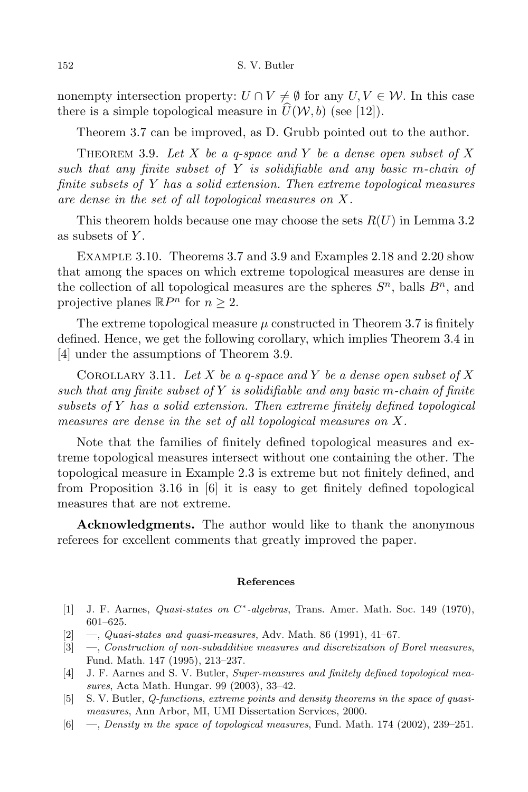nonempty intersection property:  $U \cap V \neq \emptyset$  for any  $U, V \in \mathcal{W}$ . In this case there is a simple topological measure in  $\hat{U}(W, b)$  (see [12]).

Theorem 3.7 can be improved, as D. Grubb pointed out to the author.

THEOREM 3.9. Let X be a q-space and Y be a dense open subset of X such that any finite subset of  $Y$  is solidifiable and any basic m-chain of finite subsets of Y has a solid extension. Then extreme topological measures are dense in the set of all topological measures on X.

This theorem holds because one may choose the sets  $R(U)$  in Lemma 3.2 as subsets of Y.

Example 3.10. Theorems 3.7 and 3.9 and Examples 2.18 and 2.20 show that among the spaces on which extreme topological measures are dense in the collection of all topological measures are the spheres  $S<sup>n</sup>$ , balls  $B<sup>n</sup>$ , and projective planes  $\mathbb{R}P^n$  for  $n \geq 2$ .

The extreme topological measure  $\mu$  constructed in Theorem 3.7 is finitely defined. Hence, we get the following corollary, which implies Theorem 3.4 in [4] under the assumptions of Theorem 3.9.

COROLLARY 3.11. Let X be a q-space and Y be a dense open subset of X such that any finite subset of  $Y$  is solidifiable and any basic m-chain of finite subsets of Y has a solid extension. Then extreme finitely defined topological measures are dense in the set of all topological measures on X.

Note that the families of finitely defined topological measures and extreme topological measures intersect without one containing the other. The topological measure in Example 2.3 is extreme but not finitely defined, and from Proposition 3.16 in [6] it is easy to get finitely defined topological measures that are not extreme.

Acknowledgments. The author would like to thank the anonymous referees for excellent comments that greatly improved the paper.

## References

- [1] J. F. Aarnes, *Quasi-states on C*<sup>\*</sup>-algebras, Trans. Amer. Math. Soc. 149 (1970), 601–625.
- $[2] \quad -$ , Quasi-states and quasi-measures, Adv. Math. 86 (1991), 41–67.
- [3] —, Construction of non-subadditive measures and discretization of Borel measures, Fund. Math. 147 (1995), 213–237.
- [4] J. F. Aarnes and S. V. Butler, Super-measures and finitely defined topological measures, Acta Math. Hungar. 99 (2003), 33–42.
- [5] S. V. Butler, Q-functions, extreme points and density theorems in the space of quasimeasures, Ann Arbor, MI, UMI Dissertation Services, 2000.
- [6] —, Density in the space of topological measures, Fund. Math. 174 (2002), 239–251.